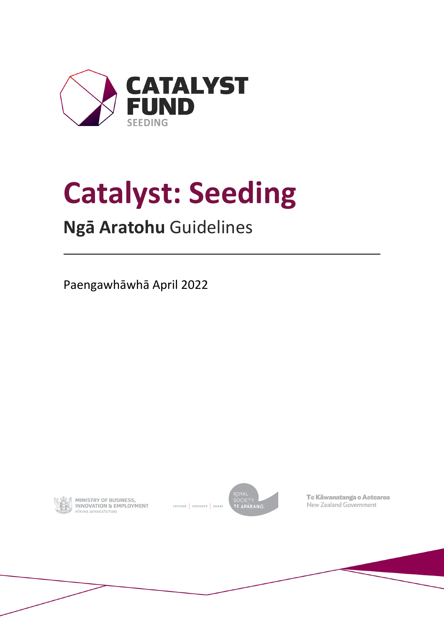

# **Catalyst: Seeding**

# **Ngā Aratohu** Guidelines

Paengawhāwhā April 2022



**MINISTRY OF BUSINESS,<br>INNOVATION & EMPLOYMENT** HĪKINA WHAKATUTUKI

EXPLORE | DISCOVER | SHARE



Te Kāwanatanga o Aotearoa New Zealand Government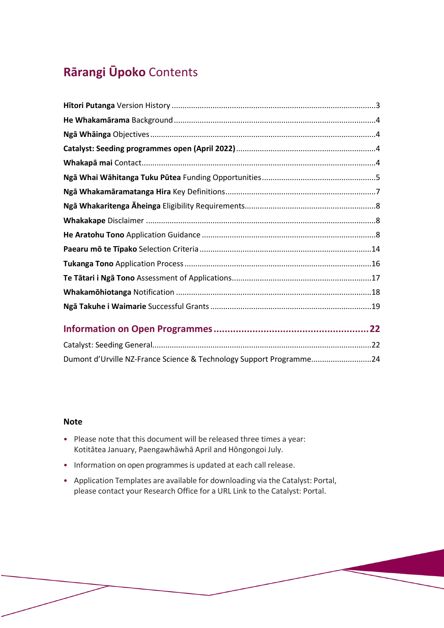# **Rārangi Ūpoko** Contents

| Dumont d'Urville NZ-France Science & Technology Support Programme24 |  |
|---------------------------------------------------------------------|--|

#### **Note**

- Please note that this document will be released three times a year: Kotitātea January, Paengawhāwhā April and Hōngongoi July.
- Information on open programmes is updated at each call release.
- Application Templates are available for downloading via the Catalyst: Portal, please contact your Research Office for a URL Link to the Catalyst: Portal.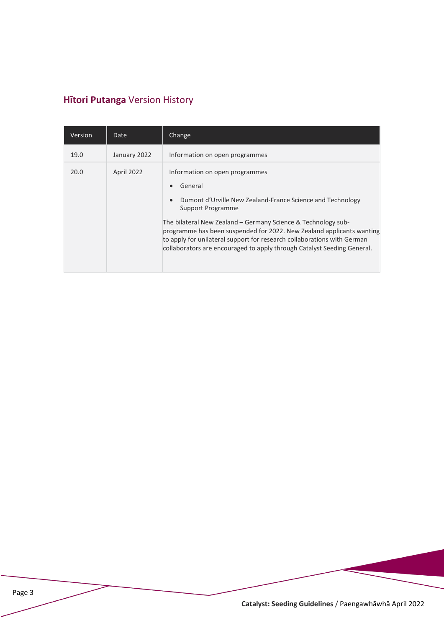# <span id="page-2-0"></span>**Hītori Putanga** Version History

| Version | <b>Date</b>  | Change                                                                                                                                                                                                                                                                                       |
|---------|--------------|----------------------------------------------------------------------------------------------------------------------------------------------------------------------------------------------------------------------------------------------------------------------------------------------|
| 19.0    | January 2022 | Information on open programmes                                                                                                                                                                                                                                                               |
| 20.0    | April 2022   | Information on open programmes<br>General<br>Dumont d'Urville New Zealand-France Science and Technology<br>$\bullet$<br>Support Programme                                                                                                                                                    |
|         |              | The bilateral New Zealand - Germany Science & Technology sub-<br>programme has been suspended for 2022. New Zealand applicants wanting<br>to apply for unilateral support for research collaborations with German<br>collaborators are encouraged to apply through Catalyst Seeding General. |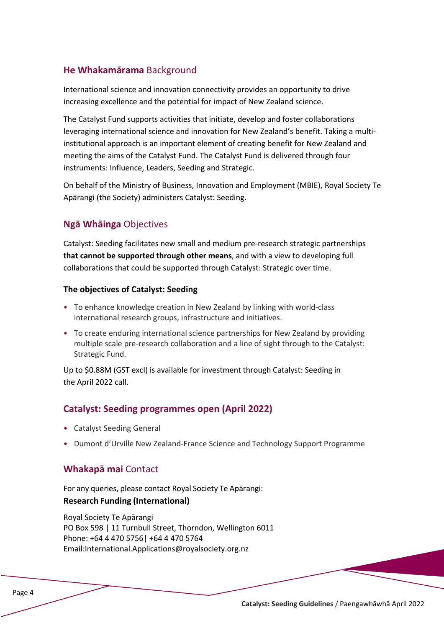# <span id="page-3-0"></span>**He Whakamārama** Background

International science and innovation connectivity provides an opportunity to drive increasing excellence and the potential for impact of New Zealand science.

The Catalyst Fund supports activities that initiate, develop and foster collaborations leveraging international science and innovation for New Zealand's benefit. Taking a multiinstitutional approach is an important element of creating benefit for New Zealand and meeting the aims of the Catalyst Fund. The Catalyst Fund is delivered through four instruments: Influence, Leaders, Seeding and Strategic.

On behalf of the Ministry of Business, Innovation and Employment (MBIE), Royal Society Te Apārangi (the Society) administers Catalyst: Seeding.

# <span id="page-3-1"></span>**Ngā Whāinga** Objectives

Catalyst: Seeding facilitates new small and medium pre-research strategic partnerships **that cannot be supported through other means**, and with a view to developing full collaborations that could be supported through Catalyst: Strategic over time.

#### **The objectives of Catalyst: Seeding**

- To enhance knowledge creation in New Zealand by linking with world-class international research groups, infrastructure and initiatives.
- To create enduring international science partnerships for New Zealand by providing multiple scale pre-research collaboration and a line of sight through to the Catalyst: Strategic Fund.

Up to \$0.88M (GST excl) is available for investment through Catalyst: Seeding in the April 2022 call.

#### <span id="page-3-2"></span>**Catalyst: Seeding programmes open (April 2022)**

- Catalyst Seeding General
- <span id="page-3-3"></span>• Dumont d'Urville New Zealand-France Science and Technology Support Programme

#### **Whakapā mai** Contact

For any queries, please contact Royal Society Te Apārangi:

#### **Research Funding (International)**

Royal Society Te Apārangi PO Box 598 | 11 Turnbull Street, Thorndon, Wellington 6011 Phone: +64 4 470 5756| +64 4 470 5764 Email[:International.Applications@royalsociety.org.nz](mailto:International.Applications@royalsociety.org.nz)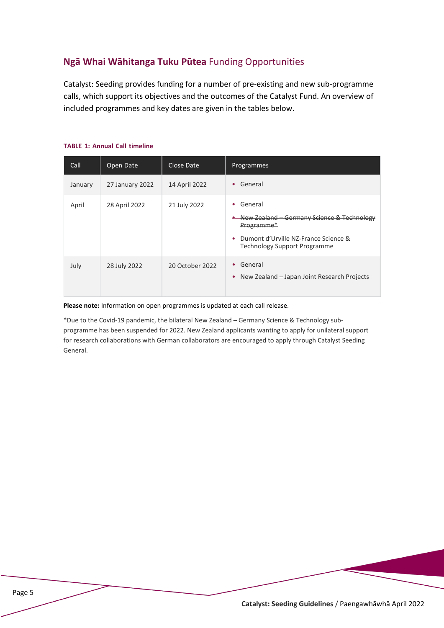# <span id="page-4-0"></span>**Ngā Whai Wāhitanga Tuku Pūtea** Funding Opportunities

Catalyst: Seeding provides funding for a number of pre-existing and new sub-programme calls, which support its objectives and the outcomes of the Catalyst Fund. An overview of included programmes and key dates are given in the tables below.

| Call    | Open Date       | Close Date      | Programmes                                                                                                                                              |
|---------|-----------------|-----------------|---------------------------------------------------------------------------------------------------------------------------------------------------------|
| January | 27 January 2022 | 14 April 2022   | • General                                                                                                                                               |
| April   | 28 April 2022   | 21 July 2022    | General<br>New Zealand – Germany Science & Technology<br>Programme*<br>Dumont d'Urville NZ-France Science &<br>۰<br><b>Technology Support Programme</b> |
| July    | 28 July 2022    | 20 October 2022 | • General<br>New Zealand – Japan Joint Research Projects<br>٠                                                                                           |

#### **TABLE 1: Annual Call timeline**

**Please note:** Information on open programmes is updated at each call release.

\*Due to the Covid-19 pandemic, the bilateral New Zealand – Germany Science & Technology subprogramme has been suspended for 2022. New Zealand applicants wanting to apply for unilateral support for research collaborations with German collaborators are encouraged to apply through Catalyst Seeding General.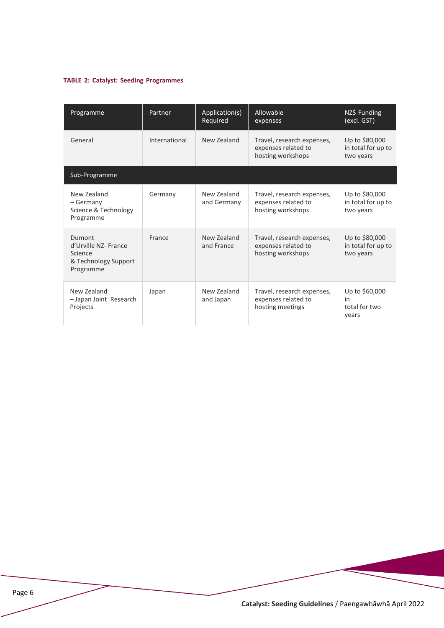#### **TABLE 2: Catalyst: Seeding Programmes**

| Programme                                                                      | Partner       | Application(s)<br>Required | Allowable<br>expenses                                                  | NZ\$ Funding<br>(excl. GST)                       |
|--------------------------------------------------------------------------------|---------------|----------------------------|------------------------------------------------------------------------|---------------------------------------------------|
| General                                                                        | International | New Zealand                | Travel, research expenses,<br>expenses related to<br>hosting workshops | Up to \$80,000<br>in total for up to<br>two years |
| Sub-Programme                                                                  |               |                            |                                                                        |                                                   |
| New Zealand<br>– Germany<br>Science & Technology<br>Programme                  | Germany       | New Zealand<br>and Germany | Travel, research expenses,<br>expenses related to<br>hosting workshops | Up to \$80,000<br>in total for up to<br>two years |
| Dumont<br>d'Urville NZ- France<br>Science<br>& Technology Support<br>Programme | France        | New Zealand<br>and France  | Travel, research expenses,<br>expenses related to<br>hosting workshops | Up to \$80,000<br>in total for up to<br>two years |
| New Zealand<br>- Japan Joint Research<br>Projects                              | Japan         | New Zealand<br>and Japan   | Travel, research expenses,<br>expenses related to<br>hosting meetings  | Up to \$60,000<br>in<br>total for two<br>years    |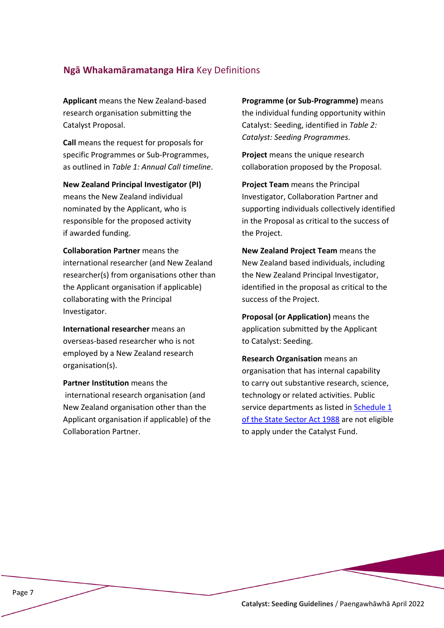#### <span id="page-6-0"></span>**Ngā Whakamāramatanga Hira** Key Definitions

**Applicant** means the New Zealand-based research organisation submitting the Catalyst Proposal.

**Call** means the request for proposals for specific Programmes or Sub-Programmes, as outlined in *Table 1: Annual Call timeline*.

**New Zealand Principal Investigator (PI)** means the New Zealand individual nominated by the Applicant, who is responsible for the proposed activity if awarded funding.

**Collaboration Partner** means the international researcher (and New Zealand researcher(s) from organisations other than the Applicant organisation if applicable) collaborating with the Principal Investigator.

**International researcher** means an overseas-based researcher who is not employed by a New Zealand research organisation(s).

**Partner Institution** means the international research organisation (and New Zealand organisation other than the Applicant organisation if applicable) of the Collaboration Partner.

**Programme (or Sub-Programme)** means the individual funding opportunity within Catalyst: Seeding, identified in *Table 2: Catalyst: Seeding Programmes*.

**Project** means the unique research collaboration proposed by the Proposal.

**Project Team** means the Principal Investigator, Collaboration Partner and supporting individuals collectively identified in the Proposal as critical to the success of the Project.

**New Zealand Project Team** means the New Zealand based individuals, including the New Zealand Principal Investigator, identified in the proposal as critical to the success of the Project.

**Proposal (or Application)** means the application submitted by the Applicant to Catalyst: Seeding.

**Research Organisation** means an organisation that has internal capability to carry out substantive research, science, technology or related activities. Public service departments as listed in [Schedule 1](https://www.legislation.govt.nz/act/public/1988/0020/latest/DLM130706.html)  [of the State Sector Act 1988](https://www.legislation.govt.nz/act/public/1988/0020/latest/DLM130706.html) are not eligible to apply under the Catalyst Fund.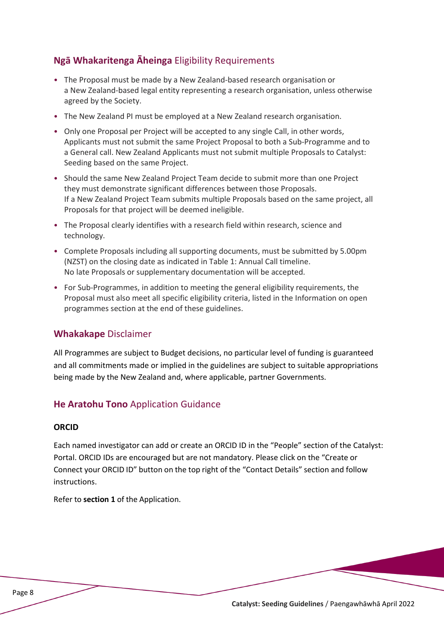# <span id="page-7-0"></span>**Ngā Whakaritenga Āheinga** Eligibility Requirements

- The Proposal must be made by a New Zealand-based research organisation or a New Zealand-based legal entity representing a research organisation, unless otherwise agreed by the Society.
- The New Zealand PI must be employed at a New Zealand research organisation.
- Only one Proposal per Project will be accepted to any single Call, in other words, Applicants must not submit the same Project Proposal to both a Sub-Programme and to a General call. New Zealand Applicants must not submit multiple Proposals to Catalyst: Seeding based on the same Project.
- Should the same New Zealand Project Team decide to submit more than one Project they must demonstrate significant differences between those Proposals. If a New Zealand Project Team submits multiple Proposals based on the same project, all Proposals for that project will be deemed ineligible.
- The Proposal clearly identifies with a research field within research, science and technology.
- Complete Proposals including all supporting documents, must be submitted by 5.00pm (NZST) on the closing date as indicated in Table 1: Annual Call timeline. No late Proposals or supplementary documentation will be accepted.
- For Sub-Programmes, in addition to meeting the general eligibility requirements, the Proposal must also meet all specific eligibility criteria, listed in the Information on open programmes section at the end of these guidelines.

#### <span id="page-7-1"></span>**Whakakape** Disclaimer

All Programmes are subject to Budget decisions, no particular level of funding is guaranteed and all commitments made or implied in the guidelines are subject to suitable appropriations being made by the New Zealand and, where applicable, partner Governments.

#### <span id="page-7-2"></span>**He Aratohu Tono** Application Guidance

#### **ORCID**

Each named investigator can add or create an ORCID ID in the "People" section of the Catalyst: Portal. ORCID IDs are encouraged but are not mandatory. Please click on the "Create or Connect your ORCID ID" button on the top right of the "Contact Details" section and follow instructions.

Refer to **section 1** of the Application.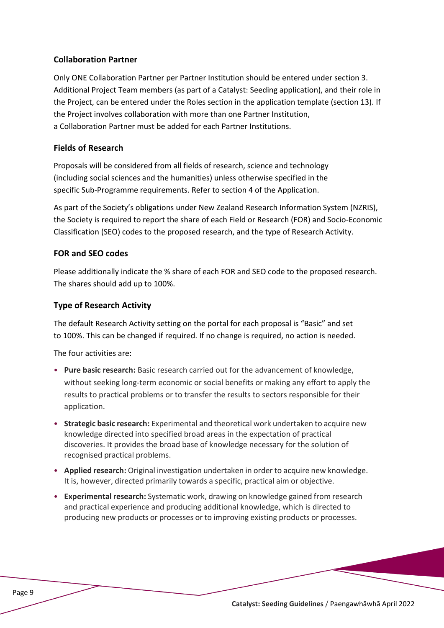#### **Collaboration Partner**

Only ONE Collaboration Partner per Partner Institution should be entered under section 3. Additional Project Team members (as part of a Catalyst: Seeding application), and their role in the Project, can be entered under the Roles section in the application template (section 13). If the Project involves collaboration with more than one Partner Institution, a Collaboration Partner must be added for each Partner Institutions.

#### **Fields of Research**

Proposals will be considered from all fields of research, science and technology (including social sciences and the humanities) unless otherwise specified in the specific Sub-Programme requirements. Refer to section 4 of the Application.

As part of the Society's obligations under New Zealand Research Information System (NZRIS), the Society is required to report the share of each Field or Research (FOR) and Socio-Economic Classification (SEO) codes to the proposed research, and the type of Research Activity.

#### **FOR and SEO codes**

Please additionally indicate the % share of each FOR and SEO code to the proposed research. The shares should add up to 100%.

#### **Type of Research Activity**

The default Research Activity setting on the portal for each proposal is "Basic" and set to 100%. This can be changed if required. If no change is required, no action is needed.

The four activities are:

- **Pure basic research:** Basic research carried out for the advancement of knowledge, without seeking long-term economic or social benefits or making any effort to apply the results to practical problems or to transfer the results to sectors responsible for their application.
- **Strategic basic research:** Experimental and theoretical work undertaken to acquire new knowledge directed into specified broad areas in the expectation of practical discoveries. It provides the broad base of knowledge necessary for the solution of recognised practical problems.
- **Applied research:** Original investigation undertaken in order to acquire new knowledge. It is, however, directed primarily towards a specific, practical aim or objective.
- **Experimental research:** Systematic work, drawing on knowledge gained from research and practical experience and producing additional knowledge, which is directed to producing new products or processes or to improving existing products or processes.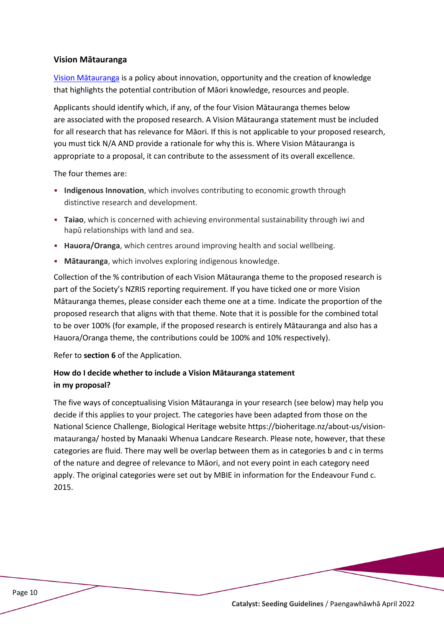#### **Vision Mātauranga**

[Vision Mātauranga](https://www.mbie.govt.nz/science-and-technology/science-and-innovation/agencies-policies-and-budget-initiatives/vision-matauranga-policy/) is a policy about innovation, opportunity and the creation of knowledge that highlights the potential contribution of Māori knowledge, resources and people.

Applicants should identify which, if any, of the four Vision Mātauranga themes below are associated with the proposed research. A Vision Mātauranga statement must be included for all research that has relevance for Māori. If this is not applicable to your proposed research, you must tick N/A AND provide a rationale for why this is. Where Vision Mātauranga is appropriate to a proposal, it can contribute to the assessment of its overall excellence.

The four themes are:

- **Indigenous Innovation**, which involves contributing to economic growth through distinctive research and development.
- **Taiao**, which is concerned with achieving environmental sustainability through iwi and hapū relationships with land and sea.
- **Hauora/Oranga**, which centres around improving health and social wellbeing.
- **Mātauranga**, which involves exploring indigenous knowledge.

Collection of the % contribution of each Vision Mātauranga theme to the proposed research is part of the Society's NZRIS reporting requirement. If you have ticked one or more Vision Mātauranga themes, please consider each theme one at a time. Indicate the proportion of the proposed research that aligns with that theme. Note that it is possible for the combined total to be over 100% (for example, if the proposed research is entirely Mātauranga and also has a Hauora/Oranga theme, the contributions could be 100% and 10% respectively).

Refer to **section 6** of the Application.

#### **How do I decide whether to include a Vision Mātauranga statement in my proposal?**

The five ways of conceptualising Vision Mātauranga in your research (see below) may help you decide if this applies to your project. The categories have been adapted from those on the National Science Challenge, Biological Heritage websit[e https://bioheritage.nz/about](https://bioheritage.nz/about-us/vision-matauranga/)-us/vision[matauranga/](https://bioheritage.nz/about-us/vision-matauranga/) hosted by Manaaki Whenua Landcare Research. Please note, however, that these categories are fluid. There may well be overlap between them as in categories b and c in terms of the nature and degree of relevance to Māori, and not every point in each category need apply. The original categories were set out by MBIE in information for the Endeavour Fund c. 2015.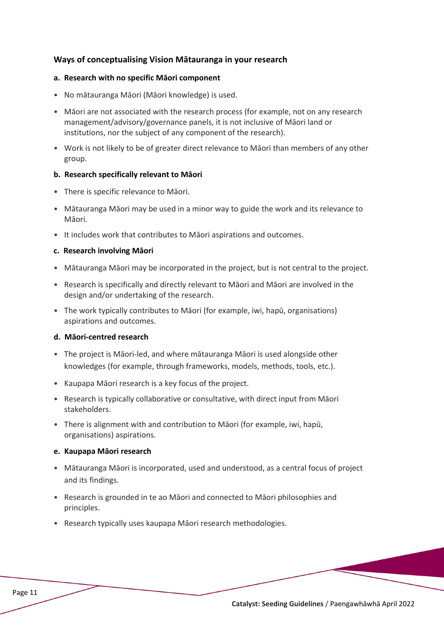#### **Ways of conceptualising Vision Mātauranga in your research**

#### **a. Research with no specific Māori component**

- No mātauranga Māori (Māori knowledge) is used.
- Māori are not associated with the research process (for example, not on any research management/advisory/governance panels, it is not inclusive of Māori land or institutions, nor the subject of any component of the research).
- Work is not likely to be of greater direct relevance to Māori than members of any other group.

#### **b. Research specifically relevant to Māori**

- There is specific relevance to Māori.
- Mātauranga Māori may be used in a minor way to guide the work and its relevance to Māori.
- It includes work that contributes to Māori aspirations and outcomes.

#### **c. Research involving Māori**

- Mātauranga Māori may be incorporated in the project, but is not central to the project.
- Research is specifically and directly relevant to Māori and Māori are involved in the design and/or undertaking of the research.
- The work typically contributes to Māori (for example, iwi, hapū, organisations) aspirations and outcomes.

#### **d. Māori-centred research**

- The project is Māori-led, and where mātauranga Māori is used alongside other knowledges (for example, through frameworks, models, methods, tools, etc.).
- Kaupapa Māori research is a key focus of the project.
- Research is typically collaborative or consultative, with direct input from Māori stakeholders.
- There is alignment with and contribution to Māori (for example, iwi, hapū, organisations) aspirations.

#### **e. Kaupapa Māori research**

- Mātauranga Māori is incorporated, used and understood, as a central focus of project and its findings.
- Research is grounded in te ao Māori and connected to Māori philosophies and principles.
- Research typically uses kaupapa Māori research methodologies.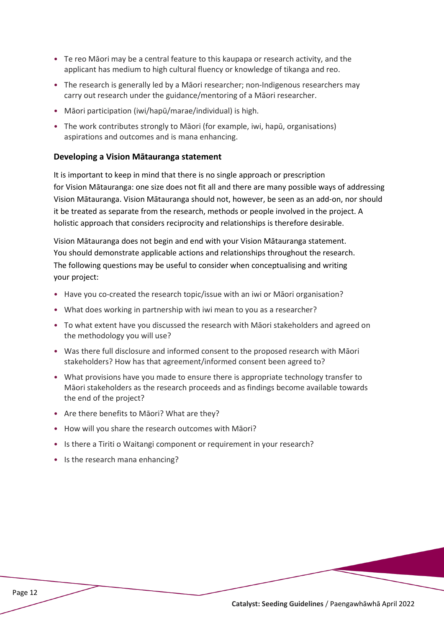- Te reo Māori may be a central feature to this kaupapa or research activity, and the applicant has medium to high cultural fluency or knowledge of tikanga and reo.
- The research is generally led by a Māori researcher; non-Indigenous researchers may carry out research under the guidance/mentoring of a Māori researcher.
- Māori participation (iwi/hapū/marae/individual) is high.
- The work contributes strongly to Māori (for example, iwi, hapū, organisations) aspirations and outcomes and is mana enhancing.

#### **Developing a Vision Mātauranga statement**

It is important to keep in mind that there is no single approach or prescription for Vision Mātauranga: one size does not fit all and there are many possible ways of addressing Vision Mātauranga. Vision Mātauranga should not, however, be seen as an add-on, nor should it be treated as separate from the research, methods or people involved in the project. A holistic approach that considers reciprocity and relationships is therefore desirable.

Vision Mātauranga does not begin and end with your Vision Mātauranga statement. You should demonstrate applicable actions and relationships throughout the research. The following questions may be useful to consider when conceptualising and writing your project:

- Have you co-created the research topic/issue with an iwi or Māori organisation?
- What does working in partnership with iwi mean to you as a researcher?
- To what extent have you discussed the research with Māori stakeholders and agreed on the methodology you will use?
- Was there full disclosure and informed consent to the proposed research with Māori stakeholders? How has that agreement/informed consent been agreed to?
- What provisions have you made to ensure there is appropriate technology transfer to Māori stakeholders as the research proceeds and as findings become available towards the end of the project?
- Are there benefits to Māori? What are they?
- How will you share the research outcomes with Māori?
- Is there a Tiriti o Waitangi component or requirement in your research?
- Is the research mana enhancing?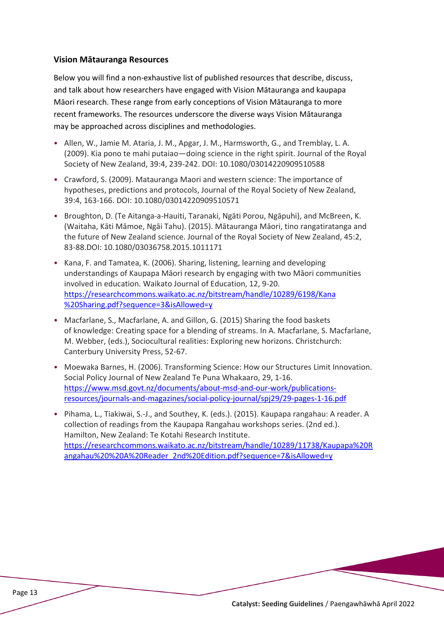#### **Vision Mātauranga Resources**

Below you will find a non-exhaustive list of published resources that describe, discuss, and talk about how researchers have engaged with Vision Mātauranga and kaupapa Māori research. These range from early conceptions of Vision Mātauranga to more recent frameworks. The resources underscore the diverse ways Vision Mātauranga may be approached across disciplines and methodologies.

- Allen, W., Jamie M. Ataria, J. M., Apgar, J. M., Harmsworth, G., and Tremblay, L. A. (2009). Kia pono te mahi putaiao—doing science in the right spirit. Journal of the Royal Society of New Zealand, 39:4, 239-242. DOI: 10.1080/03014220909510588
- Crawford, S. (2009). Matauranga Maori and western science: The importance of hypotheses, predictions and protocols, Journal of the Royal Society of New Zealand, 39:4, 163-166. DOI: 10.1080/03014220909510571
- Broughton, D. (Te Aitanga-a-Hauiti, Taranaki, Ngāti Porou, Ngāpuhi), and McBreen, K. (Waitaha, Kāti Māmoe, Ngāi Tahu). (2015). Mātauranga Māori, tino rangatiratanga and the future of New Zealand science. Journal of the Royal Society of New Zealand, 45:2, 83-88.DOI: 10.1080/03036758.2015.1011171
- Kana, F. and Tamatea, K. (2006). Sharing, listening, learning and developing understandings of Kaupapa Māori research by engaging with two Māori communities involved in education. Waikato Journal of Education, 12, 9-20. [https://researchcommons.waikato.ac.nz/bitstream/handle/10289/6198/Kana](https://researchcommons.waikato.ac.nz/bitstream/handle/10289/6198/Kana%20Sharing.pdf?sequence=3&isAllowed=y) [%20Sharing.pdf?sequence=3&isAllowed=y](https://researchcommons.waikato.ac.nz/bitstream/handle/10289/6198/Kana%20Sharing.pdf?sequence=3&isAllowed=y)
- Macfarlane, S., Macfarlane, A. and Gillon, G. (2015) Sharing the food baskets of knowledge: Creating space for a blending of streams. In A. Macfarlane, S. Macfarlane, M. Webber, (eds.), Sociocultural realities: Exploring new horizons. Christchurch: Canterbury University Press, 52-67.
- Moewaka Barnes, H. (2006). Transforming Science: How our Structures Limit Innovation. Social Policy Journal of New Zealand Te Puna Whakaaro, 29, 1-16. [https://www.msd.govt.nz/documents/about](https://www.msd.govt.nz/documents/about-msd-and-our-work/publications-resources/journals-and-magazines/social-policy-journal/spj29/29-pages-1-16.pdf)-msd-and-our-work/publications[resources/journals](https://www.msd.govt.nz/documents/about-msd-and-our-work/publications-resources/journals-and-magazines/social-policy-journal/spj29/29-pages-1-16.pdf)-and-magazines/social-policy-journal/spj29/29-pages-1-16.pdf
- Pihama, L., Tiakiwai, S.-J., and Southey, K. (eds.). (2015). Kaupapa rangahau: A reader. A collection of readings from the Kaupapa Rangahau workshops series. (2nd ed.). Hamilton, New Zealand: Te Kotahi Research Institute. [https://researchcommons.waikato.ac.nz/bitstream/handle/10289/11738/Kaupapa%20R](https://researchcommons.waikato.ac.nz/bitstream/handle/10289/11738/Kaupapa%20Rangahau%20%20A%20Reader_2nd%20Edition.pdf?sequence=7&isAllowed=y) [angahau%20%20A%20Reader\\_2nd%20Edition.pdf?sequence=7&isAllowed=y](https://researchcommons.waikato.ac.nz/bitstream/handle/10289/11738/Kaupapa%20Rangahau%20%20A%20Reader_2nd%20Edition.pdf?sequence=7&isAllowed=y)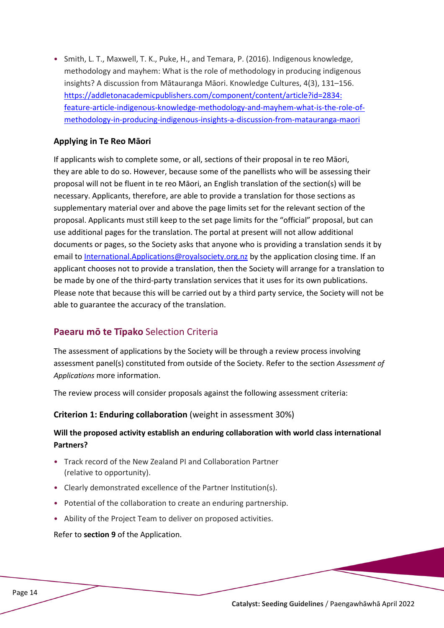• Smith, L. T., Maxwell, T. K., Puke, H., and Temara, P. (2016). Indigenous knowledge, methodology and mayhem: What is the role of methodology in producing indigenous insights? A discussion from Mātauranga Māori. Knowledge Cultures, 4(3), 131–156. https://addletonacademicpublishers.com/component/content/article?id=2834: feature-article-indigenous-knowledge-methodology-and-mayhem-what-is-the-role-ofmethodology-in-producing-indigenous-insights-a-discussion-from-matauranga-maori

#### **Applying in Te Reo Māori**

If applicants wish to complete some, or all, sections of their proposal in te reo Māori, they are able to do so. However, because some of the panellists who will be assessing their proposal will not be fluent in te reo Māori, an English translation of the section(s) will be necessary. Applicants, therefore, are able to provide a translation for those sections as supplementary material over and above the page limits set for the relevant section of the proposal. Applicants must still keep to the set page limits for the "official" proposal, but can use additional pages for the translation. The portal at present will not allow additional documents or pages, so the Society asks that anyone who is providing a translation sends it by email to [International.Applications@royalsociety.org.nz](mailto:International.Applications@royalsociety.org.nz) by the application closing time. If an applicant chooses not to provide a translation, then the Society will arrange for a translation to be made by one of the third-party translation services that it uses for its own publications. Please note that because this will be carried out by a third party service, the Society will not be able to guarantee the accuracy of the translation.

#### <span id="page-13-0"></span>**Paearu mō te Tīpako** Selection Criteria

The assessment of applications by the Society will be through a review process involving assessment panel(s) constituted from outside of the Society. Refer to the section *Assessment of Applications* more information.

The review process will consider proposals against the following assessment criteria:

#### **Criterion 1: Enduring collaboration** (weight in assessment 30%)

#### **Will the proposed activity establish an enduring collaboration with world class international Partners?**

- Track record of the New Zealand PI and Collaboration Partner (relative to opportunity).
- Clearly demonstrated excellence of the Partner Institution(s).
- Potential of the collaboration to create an enduring partnership.
- Ability of the Project Team to deliver on proposed activities.

Refer to **section 9** of the Application.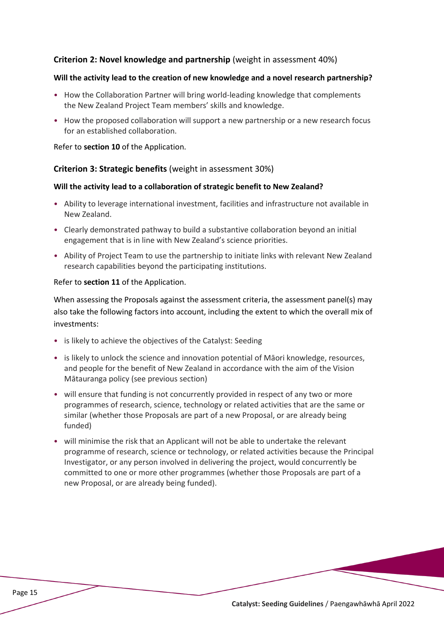#### **Criterion 2: Novel knowledge and partnership** (weight in assessment 40%)

#### **Will the activity lead to the creation of new knowledge and a novel research partnership?**

- How the Collaboration Partner will bring world-leading knowledge that complements the New Zealand Project Team members' skills and knowledge.
- How the proposed collaboration will support a new partnership or a new research focus for an established collaboration.

#### Refer to **section 10** of the Application.

#### **Criterion 3: Strategic benefits** (weight in assessment 30%)

#### **Will the activity lead to a collaboration of strategic benefit to New Zealand?**

- Ability to leverage international investment, facilities and infrastructure not available in New Zealand.
- Clearly demonstrated pathway to build a substantive collaboration beyond an initial engagement that is in line with New Zealand's science priorities.
- Ability of Project Team to use the partnership to initiate links with relevant New Zealand research capabilities beyond the participating institutions.

#### Refer to **section 11** of the Application.

When assessing the Proposals against the assessment criteria, the assessment panel(s) may also take the following factors into account, including the extent to which the overall mix of investments:

- is likely to achieve the objectives of the Catalyst: Seeding
- is likely to unlock the science and innovation potential of Māori knowledge, resources, and people for the benefit of New Zealand in accordance with the aim of the Vision Mātauranga policy (see previous section)
- will ensure that funding is not concurrently provided in respect of any two or more programmes of research, science, technology or related activities that are the same or similar (whether those Proposals are part of a new Proposal, or are already being funded)
- will minimise the risk that an Applicant will not be able to undertake the relevant programme of research, science or technology, or related activities because the Principal Investigator, or any person involved in delivering the project, would concurrently be committed to one or more other programmes (whether those Proposals are part of a new Proposal, or are already being funded).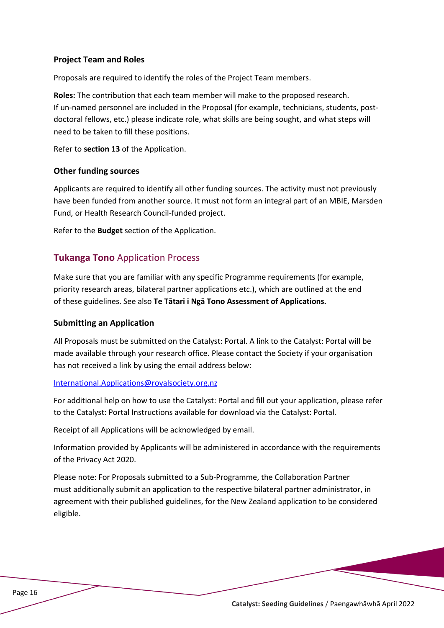#### **Project Team and Roles**

Proposals are required to identify the roles of the Project Team members.

**Roles:** The contribution that each team member will make to the proposed research. If un-named personnel are included in the Proposal (for example, technicians, students, postdoctoral fellows, etc.) please indicate role, what skills are being sought, and what steps will need to be taken to fill these positions.

Refer to **section 13** of the Application.

#### **Other funding sources**

Applicants are required to identify all other funding sources. The activity must not previously have been funded from another source. It must not form an integral part of an MBIE, Marsden Fund, or Health Research Council-funded project.

<span id="page-15-0"></span>Refer to the **Budget** section of the Application.

#### **Tukanga Tono** Application Process

Make sure that you are familiar with any specific Programme requirements (for example, priority research areas, bilateral partner applications etc.), which are outlined at the end of these guidelines. See also **Te Tātari i Ngā Tono Assessment of Applications.**

#### **Submitting an Application**

All Proposals must be submitted on the Catalyst: Portal. A link to the Catalyst: Portal will be made available through your research office. Please contact the Society if your organisation has not received a link by using the email address below:

#### [International.Applications@royalsociety.org.nz](mailto:International.Applications@royalsociety.org.nz)

For additional help on how to use the Catalyst: Portal and fill out your application, please refer to the Catalyst: Portal Instructions available for download via the Catalyst: Portal.

Receipt of all Applications will be acknowledged by email.

Information provided by Applicants will be administered in accordance with the requirements of the Privacy Act 2020.

Please note: For Proposals submitted to a Sub-Programme, the Collaboration Partner must additionally submit an application to the respective bilateral partner administrator, in agreement with their published guidelines, for the New Zealand application to be considered eligible.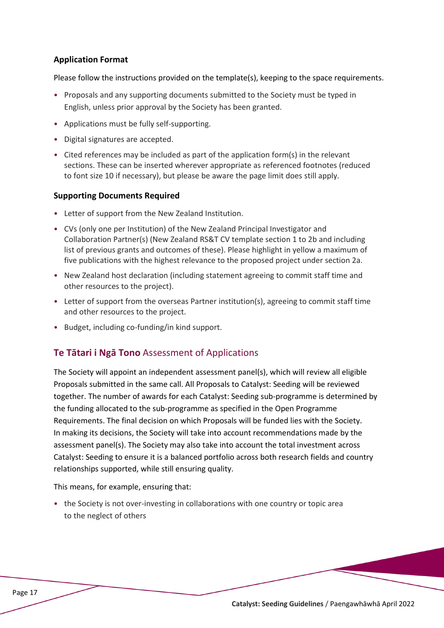#### **Application Format**

Please follow the instructions provided on the template(s), keeping to the space requirements.

- Proposals and any supporting documents submitted to the Society must be typed in English, unless prior approval by the Society has been granted.
- Applications must be fully self-supporting.
- Digital signatures are accepted.
- Cited references may be included as part of the application form(s) in the relevant sections. These can be inserted wherever appropriate as referenced footnotes (reduced to font size 10 if necessary), but please be aware the page limit does still apply.

#### **Supporting Documents Required**

- Letter of support from the New Zealand Institution.
- CVs (only one per Institution) of the New Zealand Principal Investigator and Collaboration Partner(s) (New Zealand RS&T CV template section 1 to 2b and including list of previous grants and outcomes of these). Please highlight in yellow a maximum of five publications with the highest relevance to the proposed project under section 2a.
- New Zealand host declaration (including statement agreeing to commit staff time and other resources to the project).
- Letter of support from the overseas Partner institution(s), agreeing to commit staff time and other resources to the project.
- <span id="page-16-0"></span>• Budget, including co-funding/in kind support.

#### **Te Tātari i Ngā Tono** Assessment of Applications

The Society will appoint an independent assessment panel(s), which will review all eligible Proposals submitted in the same call. All Proposals to Catalyst: Seeding will be reviewed together. The number of awards for each Catalyst: Seeding sub-programme is determined by the funding allocated to the sub-programme as specified in the Open Programme Requirements. The final decision on which Proposals will be funded lies with the Society. In making its decisions, the Society will take into account recommendations made by the assessment panel(s). The Society may also take into account the total investment across Catalyst: Seeding to ensure it is a balanced portfolio across both research fields and country relationships supported, while still ensuring quality.

This means, for example, ensuring that:

• the Society is not over-investing in collaborations with one country or topic area to the neglect of others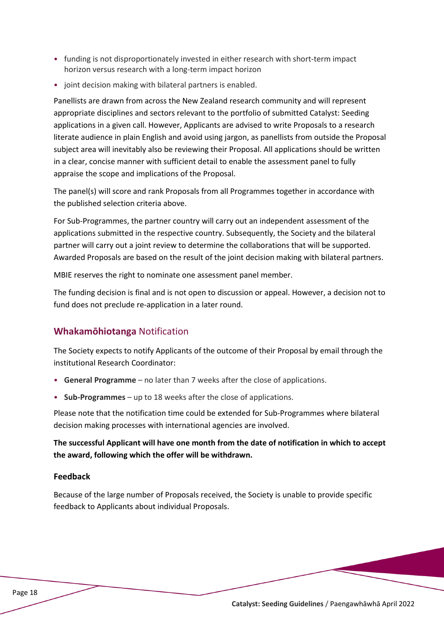- funding is not disproportionately invested in either research with short-term impact horizon versus research with a long-term impact horizon
- joint decision making with bilateral partners is enabled.

Panellists are drawn from across the New Zealand research community and will represent appropriate disciplines and sectors relevant to the portfolio of submitted Catalyst: Seeding applications in a given call. However, Applicants are advised to write Proposals to a research literate audience in plain English and avoid using jargon, as panellists from outside the Proposal subject area will inevitably also be reviewing their Proposal. All applications should be written in a clear, concise manner with sufficient detail to enable the assessment panel to fully appraise the scope and implications of the Proposal.

The panel(s) will score and rank Proposals from all Programmes together in accordance with the published selection criteria above.

For Sub-Programmes, the partner country will carry out an independent assessment of the applications submitted in the respective country. Subsequently, the Society and the bilateral partner will carry out a joint review to determine the collaborations that will be supported. Awarded Proposals are based on the result of the joint decision making with bilateral partners.

MBIE reserves the right to nominate one assessment panel member.

The funding decision is final and is not open to discussion or appeal. However, a decision not to fund does not preclude re-application in a later round.

# <span id="page-17-0"></span>**Whakamōhiotanga** Notification

The Society expects to notify Applicants of the outcome of their Proposal by email through the institutional Research Coordinator:

- **General Programme** no later than 7 weeks after the close of applications.
- **Sub-Programmes** up to 18 weeks after the close of applications.

Please note that the notification time could be extended for Sub-Programmes where bilateral decision making processes with international agencies are involved.

**The successful Applicant will have one month from the date of notification in which to accept the award, following which the offer will be withdrawn.**

#### **Feedback**

Because of the large number of Proposals received, the Society is unable to provide specific feedback to Applicants about individual Proposals.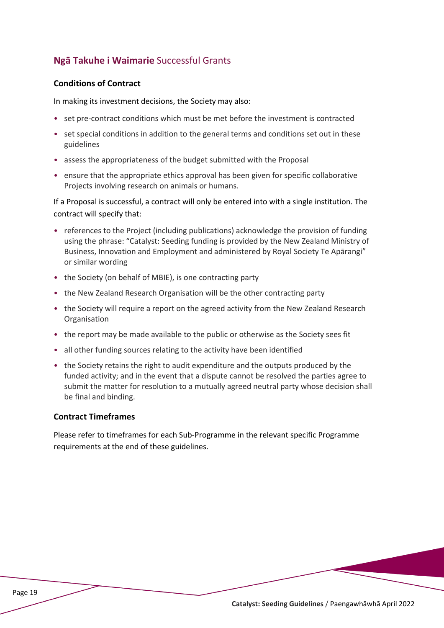# <span id="page-18-0"></span>**Ngā Takuhe i Waimarie** Successful Grants

#### **Conditions of Contract**

In making its investment decisions, the Society may also:

- set pre-contract conditions which must be met before the investment is contracted
- set special conditions in addition to the general terms and conditions set out in these guidelines
- assess the appropriateness of the budget submitted with the Proposal
- ensure that the appropriate ethics approval has been given for specific collaborative Projects involving research on animals or humans.

If a Proposal is successful, a contract will only be entered into with a single institution. The contract will specify that:

- references to the Project (including publications) acknowledge the provision of funding using the phrase: "Catalyst: Seeding funding is provided by the New Zealand Ministry of Business, Innovation and Employment and administered by Royal Society Te Apārangi" or similar wording
- the Society (on behalf of MBIE), is one contracting party
- the New Zealand Research Organisation will be the other contracting party
- the Society will require a report on the agreed activity from the New Zealand Research Organisation
- the report may be made available to the public or otherwise as the Society sees fit
- all other funding sources relating to the activity have been identified
- the Society retains the right to audit expenditure and the outputs produced by the funded activity; and in the event that a dispute cannot be resolved the parties agree to submit the matter for resolution to a mutually agreed neutral party whose decision shall be final and binding.

#### **Contract Timeframes**

Please refer to timeframes for each Sub-Programme in the relevant specific Programme requirements at the end of these guidelines.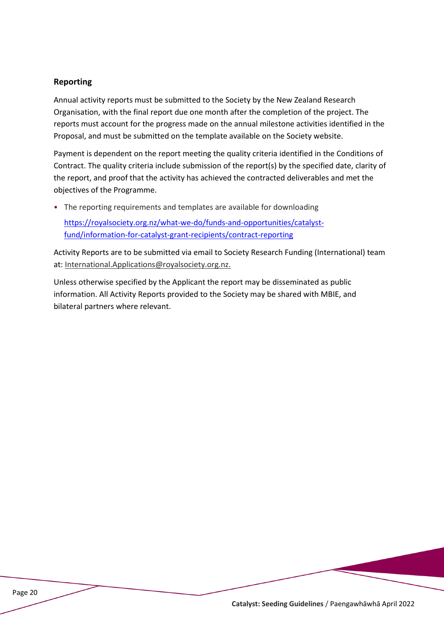#### **Reporting**

Annual activity reports must be submitted to the Society by the New Zealand Research Organisation, with the final report due one month after the completion of the project. The reports must account for the progress made on the annual milestone activities identified in the Proposal, and must be submitted on the template available on the Society website.

Payment is dependent on the report meeting the quality criteria identified in the Conditions of Contract. The quality criteria include submission of the report(s) by the specified date, clarity of the report, and proof that the activity has achieved the contracted deliverables and met the objectives of the Programme.

• The reporting requirements and templates are available for downloading

[https://royalsociety.org.nz/what](https://royalsociety.org.nz/what-we-do/funds-and-opportunities/catalyst-fund/information-for-catalyst-grant-recipients/contract-reporting)-we-do/funds-and-opportunities/catalystfund/information-for-catalyst-grant-[recipients/contract](https://royalsociety.org.nz/what-we-do/funds-and-opportunities/catalyst-fund/information-for-catalyst-grant-recipients/contract-reporting)-reporting

Activity Reports are to be submitted via email to Society Research Funding (International) team at: [International.Applications@royalsociety.org.nz](mailto:International.Applications@royalsociety.org.nz).

Unless otherwise specified by the Applicant the report may be disseminated as public information. All Activity Reports provided to the Society may be shared with MBIE, and bilateral partners where relevant.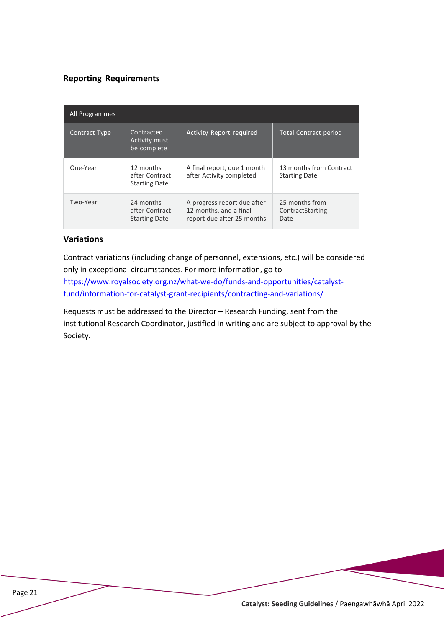#### **Reporting Requirements**

| All Programmes |                                                     |                                                                                     |                                                 |
|----------------|-----------------------------------------------------|-------------------------------------------------------------------------------------|-------------------------------------------------|
| Contract Type  | Contracted<br>Activity must<br>be complete          | Activity Report required                                                            | <b>Total Contract period</b>                    |
| One-Year       | 12 months<br>after Contract<br><b>Starting Date</b> | A final report, due 1 month<br>after Activity completed                             | 13 months from Contract<br><b>Starting Date</b> |
| Two-Year       | 24 months<br>after Contract<br><b>Starting Date</b> | A progress report due after<br>12 months, and a final<br>report due after 25 months | 25 months from<br>ContractStarting<br>Date      |

#### **Variations**

Contract variations (including change of personnel, extensions, etc.) will be considered only in exceptional circumstances. For more information, go to [https://www.royalsociety.org.nz/what](https://www.royalsociety.org.nz/what-we-do/funds-and-opportunities/catalyst-fund/information-for-catalyst-grant-recipients/contracting-and-variations/)-we-do/funds-and-opportunities/catalystfund/information-for-catalyst-grant-[recipients/contracting](https://www.royalsociety.org.nz/what-we-do/funds-and-opportunities/catalyst-fund/information-for-catalyst-grant-recipients/contracting-and-variations/)-and-variations/

Requests must be addressed to the Director – Research Funding, sent from the institutional Research Coordinator, justified in writing and are subject to approval by the Society.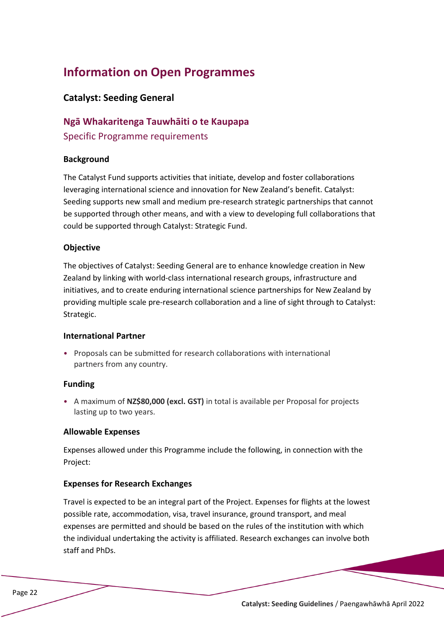# <span id="page-21-0"></span>**Information on Open Programmes**

#### <span id="page-21-1"></span>**Catalyst: Seeding General**

# **Ngā Whakaritenga Tauwhāiti o te Kaupapa** Specific Programme requirements

#### **Background**

The Catalyst Fund supports activities that initiate, develop and foster collaborations leveraging international science and innovation for New Zealand's benefit. Catalyst: Seeding supports new small and medium pre-research strategic partnerships that cannot be supported through other means, and with a view to developing full collaborations that could be supported through Catalyst: Strategic Fund.

#### **Objective**

The objectives of Catalyst: Seeding General are to enhance knowledge creation in New Zealand by linking with world-class international research groups, infrastructure and initiatives, and to create enduring international science partnerships for New Zealand by providing multiple scale pre-research collaboration and a line of sight through to Catalyst: Strategic.

#### **International Partner**

• Proposals can be submitted for research collaborations with international partners from any country.

#### **Funding**

• A maximum of **NZ\$80,000 (excl. GST)** in total is available per Proposal for projects lasting up to two years.

#### **Allowable Expenses**

Expenses allowed under this Programme include the following, in connection with the Project:

#### **Expenses for Research Exchanges**

Travel is expected to be an integral part of the Project. Expenses for flights at the lowest possible rate, accommodation, visa, travel insurance, ground transport, and meal expenses are permitted and should be based on the rules of the institution with which the individual undertaking the activity is affiliated. Research exchanges can involve both staff and PhDs.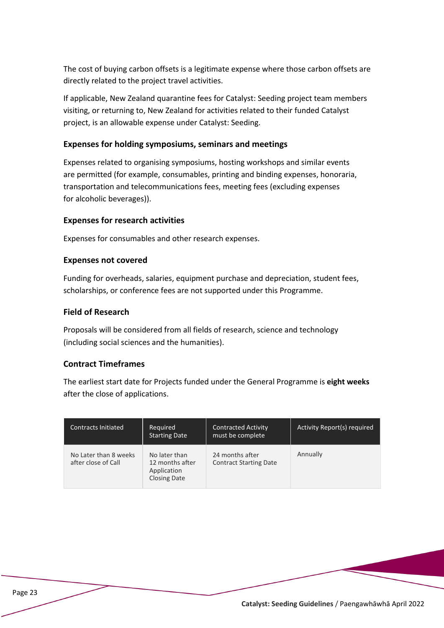The cost of buying carbon offsets is a legitimate expense where those carbon offsets are directly related to the project travel activities.

If applicable, New Zealand quarantine fees for Catalyst: Seeding project team members visiting, or returning to, New Zealand for activities related to their funded Catalyst project, is an allowable expense under Catalyst: Seeding.

#### **Expenses for holding symposiums, seminars and meetings**

Expenses related to organising symposiums, hosting workshops and similar events are permitted (for example, consumables, printing and binding expenses, honoraria, transportation and telecommunications fees, meeting fees (excluding expenses for alcoholic beverages)).

#### **Expenses for research activities**

Expenses for consumables and other research expenses.

#### **Expenses not covered**

Funding for overheads, salaries, equipment purchase and depreciation, student fees, scholarships, or conference fees are not supported under this Programme.

#### **Field of Research**

Proposals will be considered from all fields of research, science and technology (including social sciences and the humanities).

#### **Contract Timeframes**

The earliest start date for Projects funded under the General Programme is **eight weeks** after the close of applications.

| <b>Contracts Initiated</b>                   | Required<br><b>Starting Date</b>                                       | <b>Contracted Activity</b><br>must be complete   | Activity Report(s) required |
|----------------------------------------------|------------------------------------------------------------------------|--------------------------------------------------|-----------------------------|
| No Later than 8 weeks<br>after close of Call | No later than<br>12 months after<br>Application<br><b>Closing Date</b> | 24 months after<br><b>Contract Starting Date</b> | Annually                    |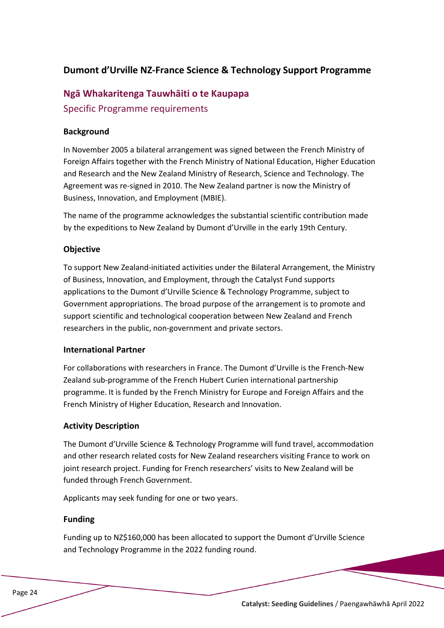# <span id="page-23-0"></span>**Dumont d'Urville NZ-France Science & Technology Support Programme**

# **Ngā Whakaritenga Tauwhāiti o te Kaupapa** Specific Programme requirements

#### **Background**

In November 2005 a bilateral arrangement was signed between the French Ministry of Foreign Affairs together with the French Ministry of National Education, Higher Education and Research and the New Zealand Ministry of Research, Science and Technology. The Agreement was re-signed in 2010. The New Zealand partner is now the Ministry of Business, Innovation, and Employment (MBIE).

The name of the programme acknowledges the substantial scientific contribution made by the expeditions to New Zealand by Dumont d'Urville in the early 19th Century.

#### **Objective**

To support New Zealand-initiated activities under the Bilateral Arrangement, the Ministry of Business, Innovation, and Employment, through the Catalyst Fund supports applications to the Dumont d'Urville Science & Technology Programme, subject to Government appropriations. The broad purpose of the arrangement is to promote and support scientific and technological cooperation between New Zealand and French researchers in the public, non-government and private sectors.

#### **International Partner**

For collaborations with researchers in France. The Dumont d'Urville is the French-New Zealand sub-programme of the French Hubert Curien international partnership programme. It is funded by the French Ministry for Europe and Foreign Affairs and the French Ministry of Higher Education, Research and Innovation.

#### **Activity Description**

The Dumont d'Urville Science & Technology Programme will fund travel, accommodation and other research related costs for New Zealand researchers visiting France to work on joint research project. Funding for French researchers' visits to New Zealand will be funded through French Government.

Applicants may seek funding for one or two years.

#### **Funding**

Funding up to NZ\$160,000 has been allocated to support the Dumont d'Urville Science and Technology Programme in the 2022 funding round.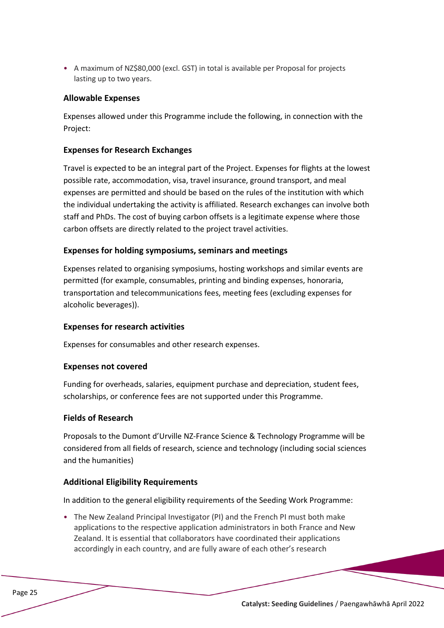• A maximum of NZ\$80,000 (excl. GST) in total is available per Proposal for projects lasting up to two years.

#### **Allowable Expenses**

Expenses allowed under this Programme include the following, in connection with the Project:

#### **Expenses for Research Exchanges**

Travel is expected to be an integral part of the Project. Expenses for flights at the lowest possible rate, accommodation, visa, travel insurance, ground transport, and meal expenses are permitted and should be based on the rules of the institution with which the individual undertaking the activity is affiliated. Research exchanges can involve both staff and PhDs. The cost of buying carbon offsets is a legitimate expense where those carbon offsets are directly related to the project travel activities.

#### **Expenses for holding symposiums, seminars and meetings**

Expenses related to organising symposiums, hosting workshops and similar events are permitted (for example, consumables, printing and binding expenses, honoraria, transportation and telecommunications fees, meeting fees (excluding expenses for alcoholic beverages)).

#### **Expenses for research activities**

Expenses for consumables and other research expenses.

#### **Expenses not covered**

Funding for overheads, salaries, equipment purchase and depreciation, student fees, scholarships, or conference fees are not supported under this Programme.

#### **Fields of Research**

Proposals to the Dumont d'Urville NZ-France Science & Technology Programme will be considered from all fields of research, science and technology (including social sciences and the humanities)

#### **Additional Eligibility Requirements**

In addition to the general eligibility requirements of the Seeding Work Programme:

• The New Zealand Principal Investigator (PI) and the French PI must both make applications to the respective application administrators in both France and New Zealand. It is essential that collaborators have coordinated their applications accordingly in each country, and are fully aware of each other's research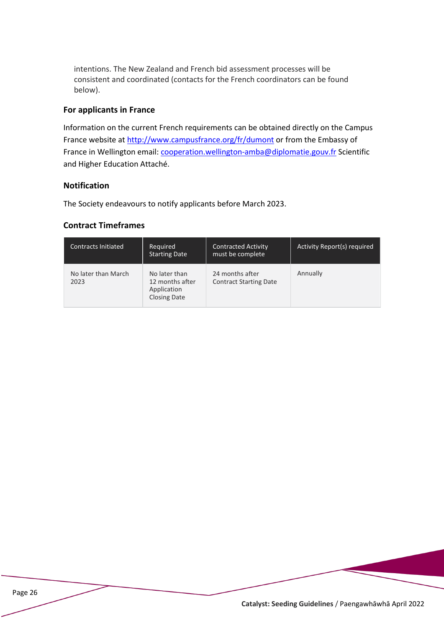intentions. The New Zealand and French bid assessment processes will be consistent and coordinated (contacts for the French coordinators can be found below).

#### **For applicants in France**

Information on the current French requirements can be obtained directly on the Campus France website at http://www.campusfrance.org/fr/dumont or from the Embassy of France in Wellington email: cooperation.wellington-amba@diplomatie.gouv.fr Scientific and Higher Education Attaché.

#### **Notification**

The Society endeavours to notify applicants before March 2023.

#### **Contract Timeframes**

| <b>Contracts Initiated</b>  | Required<br><b>Starting Date</b>                                       | <b>Contracted Activity</b><br>must be complete   | Activity Report(s) required |
|-----------------------------|------------------------------------------------------------------------|--------------------------------------------------|-----------------------------|
| No later than March<br>2023 | No later than<br>12 months after<br>Application<br><b>Closing Date</b> | 24 months after<br><b>Contract Starting Date</b> | Annually                    |